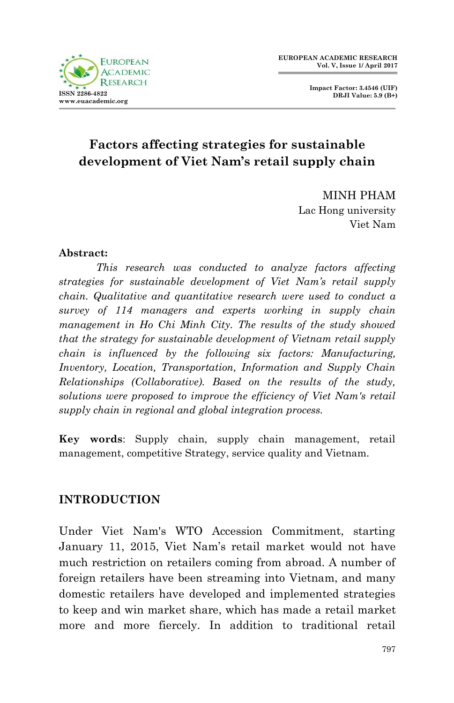

**Impact Factor: 3.4546 (UIF) DRJI Value: 5.9 (B+)**

# **Factors affecting strategies for sustainable development of Viet Nam's retail supply chain**

MINH PHAM Lac Hong university Viet Nam

### **Abstract:**

*This research was conducted to analyze factors affecting strategies for sustainable development of Viet Nam's retail supply chain. Qualitative and quantitative research were used to conduct a survey of 114 managers and experts working in supply chain management in Ho Chi Minh City. The results of the study showed that the strategy for sustainable development of Vietnam retail supply chain is influenced by the following six factors: Manufacturing, Inventory, Location, Transportation, Information and Supply Chain Relationships (Collaborative). Based on the results of the study, solutions were proposed to improve the efficiency of Viet Nam's retail supply chain in regional and global integration process.*

**Key words**: Supply chain, supply chain management, retail management, competitive Strategy, service quality and Vietnam.

### **INTRODUCTION**

Under Viet Nam's WTO Accession Commitment, starting January 11, 2015, Viet Nam's retail market would not have much restriction on retailers coming from abroad. A number of foreign retailers have been streaming into Vietnam, and many domestic retailers have developed and implemented strategies to keep and win market share, which has made a retail market more and more fiercely. In addition to traditional retail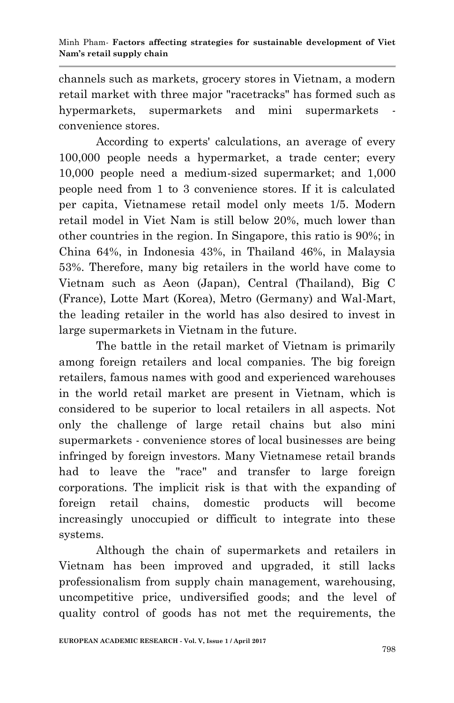channels such as markets, grocery stores in Vietnam, a modern retail market with three major "racetracks" has formed such as hypermarkets, supermarkets and mini supermarkets convenience stores.

According to experts' calculations, an average of every 100,000 people needs a hypermarket, a trade center; every 10,000 people need a medium-sized supermarket; and 1,000 people need from 1 to 3 convenience stores. If it is calculated per capita, Vietnamese retail model only meets 1/5. Modern retail model in Viet Nam is still below 20%, much lower than other countries in the region. In Singapore, this ratio is 90%; in China 64%, in Indonesia 43%, in Thailand 46%, in Malaysia 53%. Therefore, many big retailers in the world have come to Vietnam such as Aeon (Japan), Central (Thailand), Big C (France), Lotte Mart (Korea), Metro (Germany) and Wal-Mart, the leading retailer in the world has also desired to invest in large supermarkets in Vietnam in the future.

The battle in the retail market of Vietnam is primarily among foreign retailers and local companies. The big foreign retailers, famous names with good and experienced warehouses in the world retail market are present in Vietnam, which is considered to be superior to local retailers in all aspects. Not only the challenge of large retail chains but also mini supermarkets - convenience stores of local businesses are being infringed by foreign investors. Many Vietnamese retail brands had to leave the "race" and transfer to large foreign corporations. The implicit risk is that with the expanding of foreign retail chains, domestic products will become increasingly unoccupied or difficult to integrate into these systems.

Although the chain of supermarkets and retailers in Vietnam has been improved and upgraded, it still lacks professionalism from supply chain management, warehousing, uncompetitive price, undiversified goods; and the level of quality control of goods has not met the requirements, the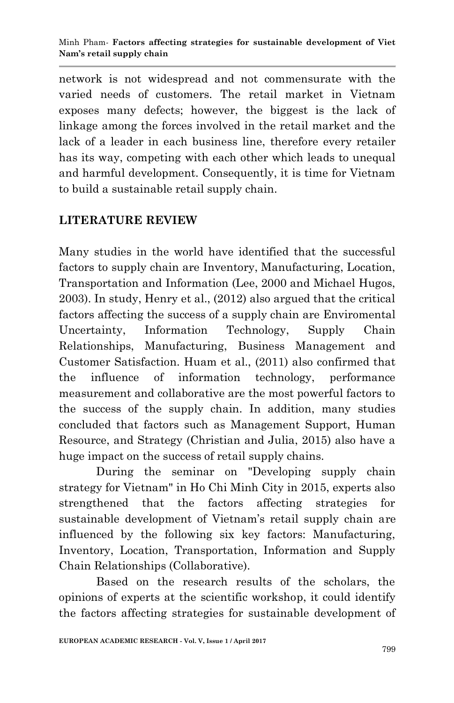network is not widespread and not commensurate with the varied needs of customers. The retail market in Vietnam exposes many defects; however, the biggest is the lack of linkage among the forces involved in the retail market and the lack of a leader in each business line, therefore every retailer has its way, competing with each other which leads to unequal and harmful development. Consequently, it is time for Vietnam to build a sustainable retail supply chain.

# **LITERATURE REVIEW**

Many studies in the world have identified that the successful factors to supply chain are Inventory, Manufacturing, Location, Transportation and Information (Lee, 2000 and Michael Hugos, 2003). In study, Henry et al., (2012) also argued that the critical factors affecting the success of a supply chain are Enviromental Uncertainty, Information Technology, Supply Chain Relationships, Manufacturing, Business Management and Customer Satisfaction. Huam et al., (2011) also confirmed that the influence of information technology, performance measurement and collaborative are the most powerful factors to the success of the supply chain. In addition, many studies concluded that factors such as Management Support, Human Resource, and Strategy (Christian and Julia, 2015) also have a huge impact on the success of retail supply chains.

During the seminar on "Developing supply chain strategy for Vietnam" in Ho Chi Minh City in 2015, experts also strengthened that the factors affecting strategies for sustainable development of Vietnam's retail supply chain are influenced by the following six key factors: Manufacturing, Inventory, Location, Transportation, Information and Supply Chain Relationships (Collaborative).

Based on the research results of the scholars, the opinions of experts at the scientific workshop, it could identify the factors affecting strategies for sustainable development of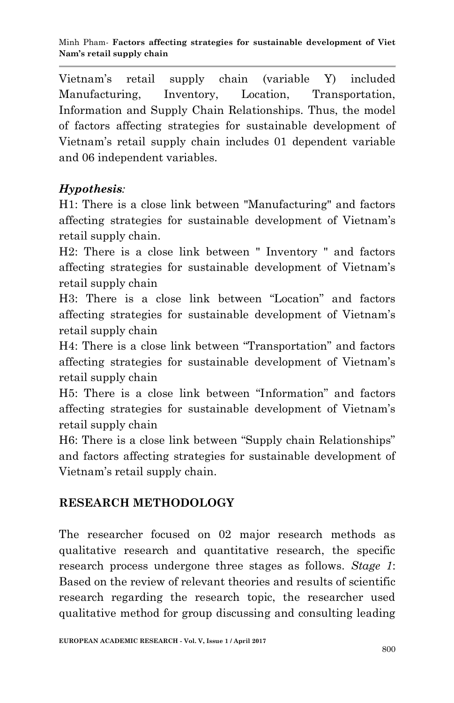Vietnam's retail supply chain (variable Y) included Manufacturing, Inventory, Location, Transportation, Information and Supply Chain Relationships. Thus, the model of factors affecting strategies for sustainable development of Vietnam's retail supply chain includes 01 dependent variable and 06 independent variables.

# *Hypothesis:*

H1: There is a close link between "Manufacturing" and factors affecting strategies for sustainable development of Vietnam's retail supply chain.

H2: There is a close link between " Inventory " and factors affecting strategies for sustainable development of Vietnam's retail supply chain

H3: There is a close link between "Location" and factors affecting strategies for sustainable development of Vietnam's retail supply chain

H4: There is a close link between "Transportation" and factors affecting strategies for sustainable development of Vietnam's retail supply chain

H5: There is a close link between "Information" and factors affecting strategies for sustainable development of Vietnam's retail supply chain

H6: There is a close link between "Supply chain Relationships" and factors affecting strategies for sustainable development of Vietnam's retail supply chain.

# **RESEARCH METHODOLOGY**

The researcher focused on 02 major research methods as qualitative research and quantitative research, the specific research process undergone three stages as follows. *Stage 1*: Based on the review of relevant theories and results of scientific research regarding the research topic, the researcher used qualitative method for group discussing and consulting leading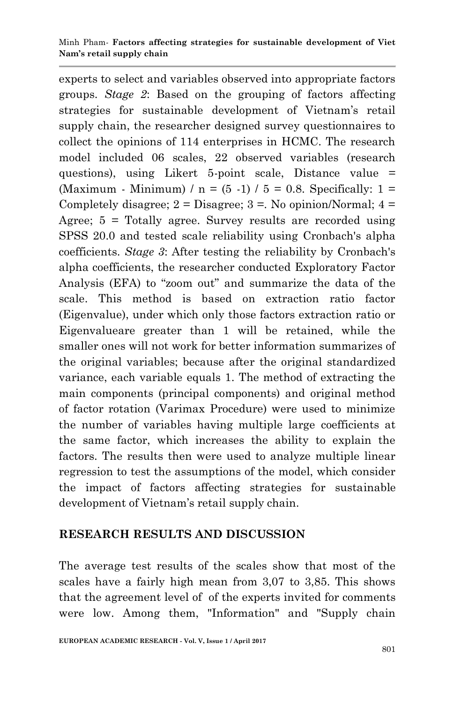experts to select and variables observed into appropriate factors groups. *Stage 2*: Based on the grouping of factors affecting strategies for sustainable development of Vietnam's retail supply chain, the researcher designed survey questionnaires to collect the opinions of 114 enterprises in HCMC. The research model included 06 scales, 22 observed variables (research questions), using Likert 5-point scale, Distance value = (Maximum - Minimum) /  $n = (5 -1) / 5 = 0.8$ . Specifically: 1 = Completely disagree;  $2 = Disagree$ ;  $3 = No$  opinion/Normal;  $4 =$ Agree; 5 = Totally agree. Survey results are recorded using SPSS 20.0 and tested scale reliability using Cronbach's alpha coefficients. *Stage 3*: After testing the reliability by Cronbach's alpha coefficients, the researcher conducted Exploratory Factor Analysis (EFA) to "zoom out" and summarize the data of the scale. This method is based on extraction ratio factor (Eigenvalue), under which only those factors extraction ratio or Eigenvalueare greater than 1 will be retained, while the smaller ones will not work for better information summarizes of the original variables; because after the original standardized variance, each variable equals 1. The method of extracting the main components (principal components) and original method of factor rotation (Varimax Procedure) were used to minimize the number of variables having multiple large coefficients at the same factor, which increases the ability to explain the factors. The results then were used to analyze multiple linear regression to test the assumptions of the model, which consider the impact of factors affecting strategies for sustainable development of Vietnam's retail supply chain.

### **RESEARCH RESULTS AND DISCUSSION**

The average test results of the scales show that most of the scales have a fairly high mean from 3,07 to 3,85. This shows that the agreement level of of the experts invited for comments were low. Among them, "Information" and "Supply chain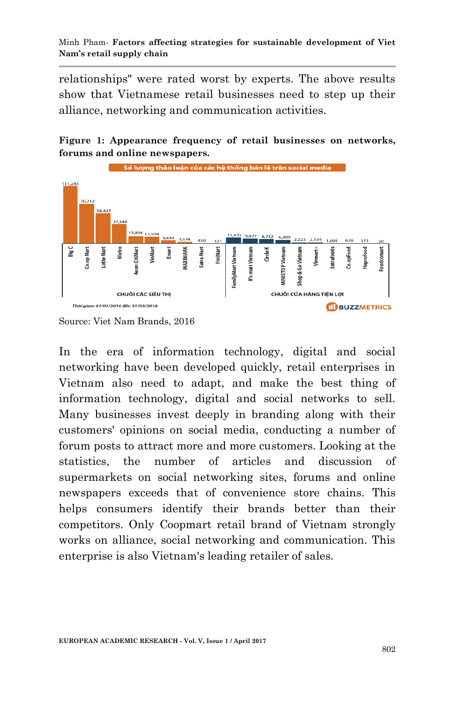relationships" were rated worst by experts. The above results show that Vietnamese retail businesses need to step up their alliance, networking and communication activities.





Source: Viet Nam Brands, 2016

In the era of information technology, digital and social networking have been developed quickly, retail enterprises in Vietnam also need to adapt, and make the best thing of information technology, digital and social networks to sell. Many businesses invest deeply in branding along with their customers' opinions on social media, conducting a number of forum posts to attract more and more customers. Looking at the statistics, the number of articles and discussion of supermarkets on social networking sites, forums and online newspapers exceeds that of convenience store chains. This helps consumers identify their brands better than their competitors. Only Coopmart retail brand of Vietnam strongly works on alliance, social networking and communication. This enterprise is also Vietnam's leading retailer of sales.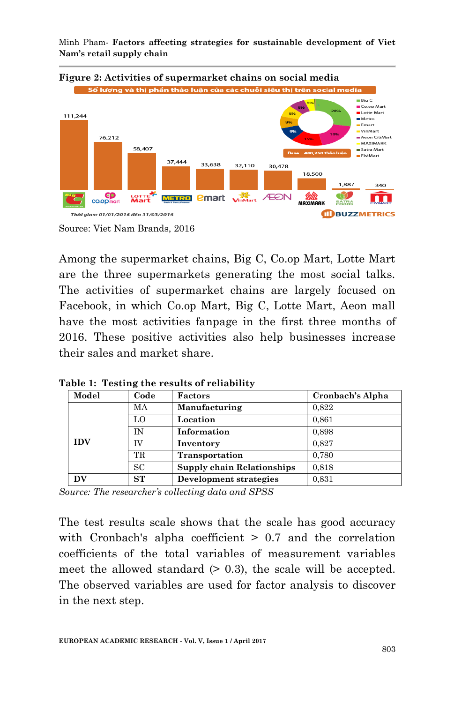Minh Pham*-* **Factors affecting strategies for sustainable development of Viet Nam's retail supply chain**



Among the supermarket chains, Big C, Co.op Mart, Lotte Mart are the three supermarkets generating the most social talks. The activities of supermarket chains are largely focused on Facebook, in which Co.op Mart, Big C, Lotte Mart, Aeon mall have the most activities fanpage in the first three months of 2016. These positive activities also help businesses increase their sales and market share.

| Model      | Code      | Factors                    | Cronbach's Alpha |
|------------|-----------|----------------------------|------------------|
|            | MA        | Manufacturing              | 0.822            |
|            | LO        | Location                   | 0.861            |
| <b>IDV</b> | ĪΝ        | Information                | 0,898            |
|            | ΓV        | Inventory                  | 0.827            |
|            | TR        | Transportation             | 0.780            |
|            | <b>SC</b> | Supply chain Relationships | 0.818            |
| DV         | ST        | Development strategies     | 0,831            |

**Table 1: Testing the results of reliability**

*Source: The researcher's collecting data and SPSS*

The test results scale shows that the scale has good accuracy with Cronbach's alpha coefficient  $> 0.7$  and the correlation coefficients of the total variables of measurement variables meet the allowed standard  $(0.3)$ , the scale will be accepted. The observed variables are used for factor analysis to discover in the next step.

Source: Viet Nam Brands, 2016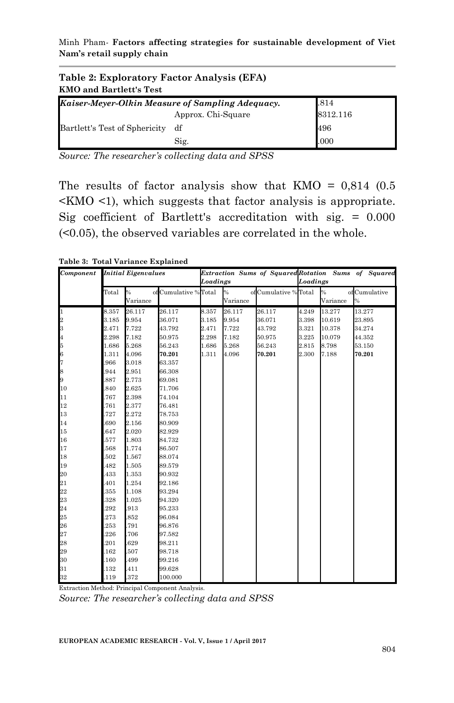Minh Pham*-* **Factors affecting strategies for sustainable development of Viet Nam's retail supply chain**

| Table 2: Exploratory Factor Analysis (EFA)<br><b>KMO</b> and Bartlett's Test |                    |          |  |  |  |  |  |
|------------------------------------------------------------------------------|--------------------|----------|--|--|--|--|--|
| Kaiser-Meyer-Olkin Measure of Sampling Adequacy.                             |                    | .814     |  |  |  |  |  |
|                                                                              | Approx. Chi-Square | 8312.116 |  |  |  |  |  |
| Bartlett's Test of Sphericity df                                             |                    | 496      |  |  |  |  |  |
|                                                                              | Sig.               | .000     |  |  |  |  |  |

*Source: The researcher's collecting data and SPSS*

The results of factor analysis show that  $KMO = 0.814$  (0.5)  $\leq$ KMO  $\leq$ 1), which suggests that factor analysis is appropriate. Sig coefficient of Bartlett's accreditation with sig. = 0.000 (<0.05), the observed variables are correlated in the whole.

**Table 3: Total Variance Explained**

| Component                                   | <b>Initial Eigenvalues</b> |               |                       |          |               |                       | Extraction Sums of Squared Rotation Sums of Squared |          |              |  |
|---------------------------------------------|----------------------------|---------------|-----------------------|----------|---------------|-----------------------|-----------------------------------------------------|----------|--------------|--|
|                                             |                            |               |                       | Loadings |               |                       | Loadings                                            |          |              |  |
|                                             | Total                      | $\frac{9}{6}$ | of Cumulative % Total |          | $\frac{6}{6}$ | of Cumulative % Total |                                                     | %        | ofCumulative |  |
|                                             |                            | Variance      |                       |          | Variance      |                       |                                                     | Variance | $\%$         |  |
| $\mathbf{1}$                                | 8.357                      | 26.117        | 26.117                | 8.357    | 26.117        | 26.117                | 4.249                                               | 13.277   | 13.277       |  |
| $\frac{2}{3}$                               | 3.185                      | 9.954         | 36.071                | 3.185    | 9.954         | 36.071                | 3.398                                               | 10.619   | 23.895       |  |
|                                             | 2.471                      | 7.722         | 43.792                | 2.471    | 7.722         | 43.792                | 3.321                                               | 10.378   | 34.274       |  |
| $\overline{\mathbf{4}}$                     | 2.298                      | 7.182         | 50.975                | 2.298    | 7.182         | 50.975                | 3.225                                               | 10.079   | 44.352       |  |
| $\overline{5}$                              | 1.686                      | 5.268         | 56.243                | 1.686    | 5.268         | 56.243                | 2.815                                               | 8.798    | 53.150       |  |
|                                             | 1.311                      | 4.096         | 70.201                | 1.311    | 4.096         | 70.201                | 2.300                                               | 7.188    | 70.201       |  |
| 6<br>7                                      | 966                        | 3.018         | 63.357                |          |               |                       |                                                     |          |              |  |
|                                             | 944                        | 2.951         | 66.308                |          |               |                       |                                                     |          |              |  |
| $\begin{array}{c} 8 \\ 9 \\ 10 \end{array}$ | 887                        | 2.773         | 69.081                |          |               |                       |                                                     |          |              |  |
|                                             | 840                        | 2.625         | 71.706                |          |               |                       |                                                     |          |              |  |
| 11                                          | 767                        | 2.398         | 74.104                |          |               |                       |                                                     |          |              |  |
| 12                                          | 761                        | 2.377         | 76.481                |          |               |                       |                                                     |          |              |  |
| 13                                          | 727                        | 2.272         | 78.753                |          |               |                       |                                                     |          |              |  |
| 14                                          | 690                        | 2.156         | 80.909                |          |               |                       |                                                     |          |              |  |
| 15                                          | 647                        | 2.020         | 82.929                |          |               |                       |                                                     |          |              |  |
| 16                                          | 577                        | 1.803         | 84.732                |          |               |                       |                                                     |          |              |  |
| 17                                          | 568                        | 1.774         | 86.507                |          |               |                       |                                                     |          |              |  |
| 18                                          | 502                        | 1.567         | 88.074                |          |               |                       |                                                     |          |              |  |
| 19                                          | 482                        | 1.505         | 89.579                |          |               |                       |                                                     |          |              |  |
| 20                                          | 433                        | 1.353         | 90.932                |          |               |                       |                                                     |          |              |  |
| 21                                          | 401                        | 1.254         | 92.186                |          |               |                       |                                                     |          |              |  |
| 22                                          | 355                        | 1.108         | 93.294                |          |               |                       |                                                     |          |              |  |
| 23                                          | 328                        | 1.025         | 94.320                |          |               |                       |                                                     |          |              |  |
|                                             | 292                        | .913          | 95.233                |          |               |                       |                                                     |          |              |  |
| $\frac{24}{25}$                             | 273                        | .852          | 96.084                |          |               |                       |                                                     |          |              |  |
| 26                                          | 253                        | .791          | 96.876                |          |               |                       |                                                     |          |              |  |
|                                             | 226                        | .706          | 97.582                |          |               |                       |                                                     |          |              |  |
|                                             | 201                        | .629          | 98.211                |          |               |                       |                                                     |          |              |  |
| $\frac{27}{28}$                             | 162                        | .507          | 98.718                |          |               |                       |                                                     |          |              |  |
| 30                                          | .160                       | .499          | 99.216                |          |               |                       |                                                     |          |              |  |
|                                             | 132                        | .411          | 99.628                |          |               |                       |                                                     |          |              |  |
| $\frac{31}{32}$                             | .119                       | .372          | 100.000               |          |               |                       |                                                     |          |              |  |

Extraction Method: Principal Component Analysis.

*Source: The researcher's collecting data and SPSS*

**EUROPEAN ACADEMIC RESEARCH - Vol. V, Issue 1 / April 2017**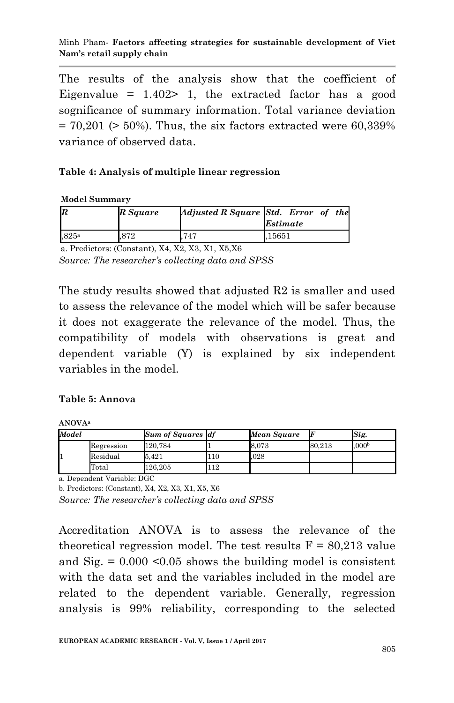The results of the analysis show that the coefficient of Eigenvalue =  $1.402$  a 1, the extracted factor has a good sognificance of summary information. Total variance deviation  $= 70,201$  ( $> 50\%$ ). Thus, the six factors extracted were 60,339% variance of observed data.

### **Table 4: Analysis of multiple linear regression**

#### **Model Summary**

| IF                  | R Square | Adjusted R Square Std. Error of the | <i><b>Estimate</b></i> |  |
|---------------------|----------|-------------------------------------|------------------------|--|
| $,825$ <sup>a</sup> | .872     | .747                                | .15651                 |  |

a. Predictors: (Constant), X4, X2, X3, X1, X5,X6 *Source: The researcher's collecting data and SPSS*

The study results showed that adjusted R2 is smaller and used to assess the relevance of the model which will be safer because it does not exaggerate the relevance of the model. Thus, the compatibility of models with observations is great and dependent variable (Y) is explained by six independent variables in the model.

### **Table 5: Annova**

**ANOVA<sup>a</sup>**

| Model |            | <b>Sum of Squares df</b> |     | Mean Square |        | Sig.              |
|-------|------------|--------------------------|-----|-------------|--------|-------------------|
|       | Regression | 120.784                  |     | 8.073       | 80.213 | .000 <sub>b</sub> |
|       | Residual   | 5.421                    | 110 | .028        |        |                   |
|       | Total      | 126,205                  | 112 |             |        |                   |

a. Dependent Variable: DGC

b. Predictors: (Constant), X4, X2, X3, X1, X5, X6

*Source: The researcher's collecting data and SPSS*

Accreditation ANOVA is to assess the relevance of the theoretical regression model. The test results  $F = 80,213$  value and  $\text{Sig.} = 0.000 \leq 0.05$  shows the building model is consistent with the data set and the variables included in the model are related to the dependent variable. Generally, regression analysis is 99% reliability, corresponding to the selected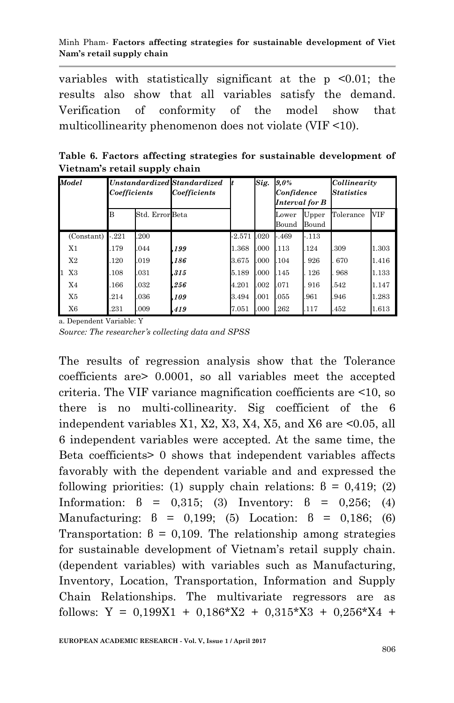#### Minh Pham*-* **Factors affecting strategies for sustainable development of Viet Nam's retail supply chain**

variables with statistically significant at the  $p \leq 0.01$ ; the results also show that all variables satisfy the demand. Verification of conformity of the model show that multicollinearity phenomenon does not violate (VIF <10).

**Table 6. Factors affecting strategies for sustainable development of Vietnam's retail supply chain**

| Model          | Unstandardized Standardized<br>Coefficients |                 | Coefficients | Sig.<br>It |      | $9.0\%$<br>Confidence<br>Interval for B |                | Collinearity<br><b>Statistics</b> |       |
|----------------|---------------------------------------------|-----------------|--------------|------------|------|-----------------------------------------|----------------|-----------------------------------|-------|
|                | B                                           | Std. Error Beta |              |            |      | Lower<br>Bound                          | Upper<br>Bound | Tolerance                         | VIF   |
| (Constant)     | $-.221$                                     | .200            |              | $-2.571$   | .020 | -.469                                   | $-.113$        |                                   |       |
| X1             | 179                                         | .044            | .199         | 1.368      | .000 | .113                                    | .124           | .309                              | 1.303 |
| X <sub>2</sub> | 120                                         | .019            | .186         | 3.675      | .000 | .104                                    | 926            | 670                               | 1.416 |
| 1<br>X3        | 108                                         | .031            | .315         | 5.189      | .000 | .145                                    | 126            | 968                               | 1.133 |
| X4             | 166                                         | .032            | .256         | 4.201      | .002 | .071                                    | 916            | .542                              | 1.147 |
| X5             | .214                                        | .036            | .109         | 3.494      | .001 | .055                                    | .961           | .946                              | 1.283 |
| X6             | 231                                         | .009            | .419         | 7.051      | .000 | .262                                    | .117           | .452                              | 1.613 |

a. Dependent Variable: Y *Source: The researcher's collecting data and SPSS*

The results of regression analysis show that the Tolerance coefficients are> 0.0001, so all variables meet the accepted criteria. The VIF variance magnification coefficients are <10, so there is no multi-collinearity. Sig coefficient of the 6 independent variables X1, X2, X3, X4, X5, and X6 are <0.05, all 6 independent variables were accepted. At the same time, the Beta coefficients> 0 shows that independent variables affects favorably with the dependent variable and and expressed the following priorities: (1) supply chain relations:  $\beta = 0.419$ ; (2) Information:  $\beta = 0.315$ ; (3) Inventory:  $\beta = 0.256$ ; (4) Manufacturing:  $\beta = 0.199$ ; (5) Location:  $\beta = 0.186$ ; (6) Transportation:  $\beta = 0.109$ . The relationship among strategies for sustainable development of Vietnam's retail supply chain. (dependent variables) with variables such as Manufacturing, Inventory, Location, Transportation, Information and Supply Chain Relationships. The multivariate regressors are as follows:  $Y = 0,199X1 + 0,186*X2 + 0,315*X3 + 0,256*X4 +$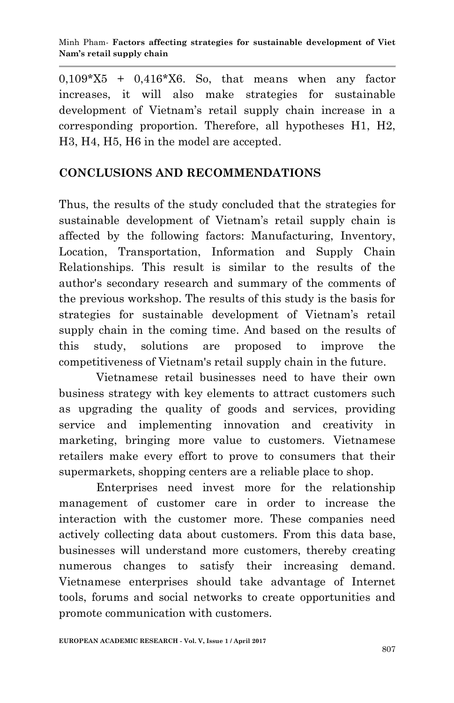$0.109*X5 + 0.416*X6$ . So, that means when any factor increases, it will also make strategies for sustainable development of Vietnam's retail supply chain increase in a corresponding proportion. Therefore, all hypotheses H1, H2, H3, H4, H5, H6 in the model are accepted.

## **CONCLUSIONS AND RECOMMENDATIONS**

Thus, the results of the study concluded that the strategies for sustainable development of Vietnam's retail supply chain is affected by the following factors: Manufacturing, Inventory, Location, Transportation, Information and Supply Chain Relationships. This result is similar to the results of the author's secondary research and summary of the comments of the previous workshop. The results of this study is the basis for strategies for sustainable development of Vietnam's retail supply chain in the coming time. And based on the results of this study, solutions are proposed to improve the competitiveness of Vietnam's retail supply chain in the future.

Vietnamese retail businesses need to have their own business strategy with key elements to attract customers such as upgrading the quality of goods and services, providing service and implementing innovation and creativity in marketing, bringing more value to customers. Vietnamese retailers make every effort to prove to consumers that their supermarkets, shopping centers are a reliable place to shop.

Enterprises need invest more for the relationship management of customer care in order to increase the interaction with the customer more. These companies need actively collecting data about customers. From this data base, businesses will understand more customers, thereby creating numerous changes to satisfy their increasing demand. Vietnamese enterprises should take advantage of Internet tools, forums and social networks to create opportunities and promote communication with customers.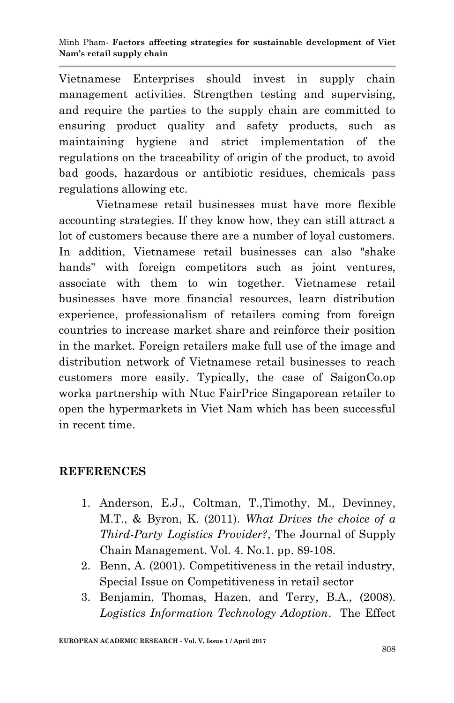Vietnamese Enterprises should invest in supply chain management activities. Strengthen testing and supervising, and require the parties to the supply chain are committed to ensuring product quality and safety products, such as maintaining hygiene and strict implementation of the regulations on the traceability of origin of the product, to avoid bad goods, hazardous or antibiotic residues, chemicals pass regulations allowing etc.

Vietnamese retail businesses must have more flexible accounting strategies. If they know how, they can still attract a lot of customers because there are a number of loyal customers. In addition, Vietnamese retail businesses can also "shake hands" with foreign competitors such as joint ventures, associate with them to win together. Vietnamese retail businesses have more financial resources, learn distribution experience, professionalism of retailers coming from foreign countries to increase market share and reinforce their position in the market. Foreign retailers make full use of the image and distribution network of Vietnamese retail businesses to reach customers more easily. Typically, the case of SaigonCo.op worka partnership with Ntuc FairPrice Singaporean retailer to open the hypermarkets in Viet Nam which has been successful in recent time.

### **REFERENCES**

- 1. Anderson, E.J., Coltman, T.,Timothy, M., Devinney, M.T., & Byron, K. (2011). *What Drives the choice of a Third-Party Logistics Provider?*, The Journal of Supply Chain Management. Vol. 4. No.1. pp. 89-108.
- 2. Benn, A. (2001). Competitiveness in the retail industry, Special Issue on Competitiveness in retail sector
- 3. Benjamin, Thomas, Hazen, and Terry, B.A., (2008). *Logistics Information Technology Adoption*. The Effect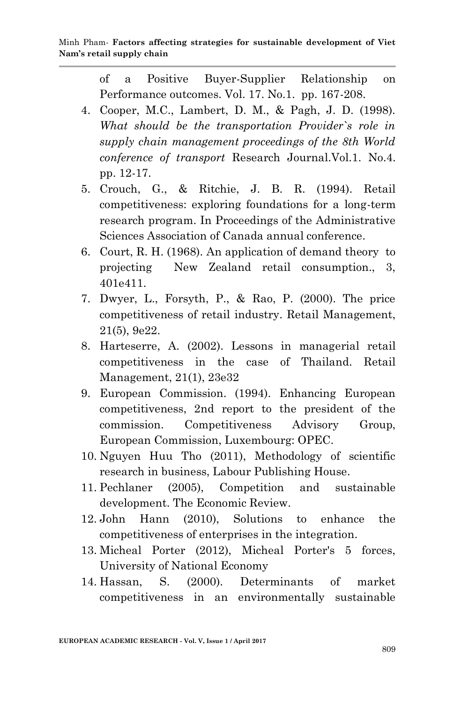of a Positive Buyer-Supplier Relationship on Performance outcomes. Vol. 17. No.1. pp. 167-208.

- 4. Cooper, M.C., Lambert, D. M., & Pagh, J. D. (1998). *What should be the transportation Provider`s role in supply chain management proceedings of the 8th World conference of transport* Research Journal.Vol.1. No.4. pp. 12-17.
- 5. Crouch, G., & Ritchie, J. B. R. (1994). Retail competitiveness: exploring foundations for a long-term research program. In Proceedings of the Administrative Sciences Association of Canada annual conference.
- 6. Court, R. H. (1968). An application of demand theory to projecting New Zealand retail consumption., 3, 401e411.
- 7. Dwyer, L., Forsyth, P., & Rao, P. (2000). The price competitiveness of retail industry. Retail Management, 21(5), 9e22.
- 8. Harteserre, A. (2002). Lessons in managerial retail competitiveness in the case of Thailand. Retail Management, 21(1), 23e32
- 9. European Commission. (1994). Enhancing European competitiveness, 2nd report to the president of the commission. Competitiveness Advisory Group, European Commission, Luxembourg: OPEC.
- 10. Nguyen Huu Tho (2011), Methodology of scientific research in business, Labour Publishing House.
- 11. Pechlaner (2005), Competition and sustainable development. The Economic Review.
- 12. John Hann (2010), Solutions to enhance the competitiveness of enterprises in the integration.
- 13. Micheal Porter (2012), Micheal Porter's 5 forces, University of National Economy
- 14. Hassan, S. (2000). Determinants of market competitiveness in an environmentally sustainable